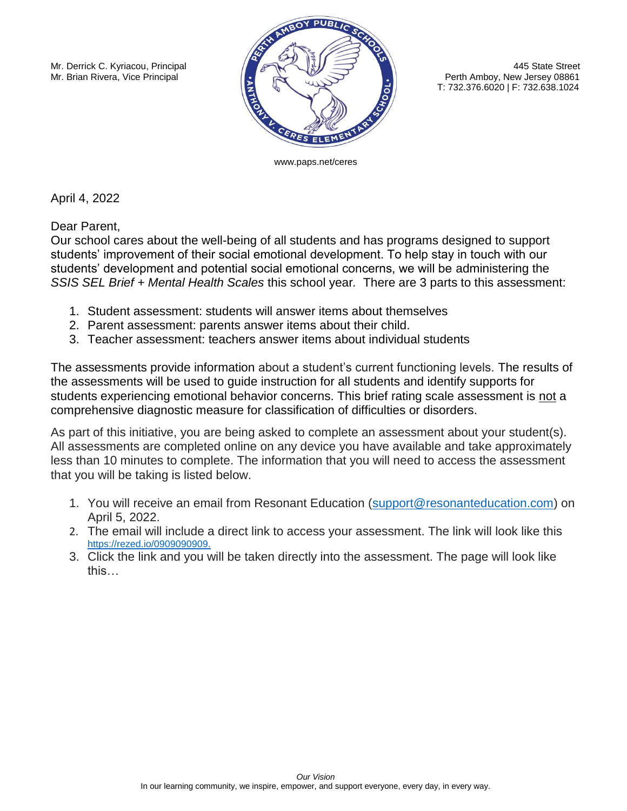

Perth Amboy, New Jersey 08861 T: 732.376.6020 | F: 732.638.1024

www.paps.net/ceres

April 4, 2022

Dear Parent,

Our school cares about the well-being of all students and has programs designed to support students' improvement of their social emotional development. To help stay in touch with our students' development and potential social emotional concerns, we will be administering the *SSIS SEL Brief + Mental Health Scales* this school year*.* There are 3 parts to this assessment:

- 1. Student assessment: students will answer items about themselves
- 2. Parent assessment: parents answer items about their child.
- 3. Teacher assessment: teachers answer items about individual students

The assessments provide information about a student's current functioning levels. The results of the assessments will be used to guide instruction for all students and identify supports for students experiencing emotional behavior concerns. This brief rating scale assessment is not a comprehensive diagnostic measure for classification of difficulties or disorders.

As part of this initiative, you are being asked to complete an assessment about your student(s). All assessments are completed online on any device you have available and take approximately less than 10 minutes to complete. The information that you will need to access the assessment that you will be taking is listed below.

- 1. You will receive an email from Resonant Education [\(support@resonanteducation.com\)](mailto:support@resonanteducation.com) on April 5, 2022.
- 2. The email will include a direct link to access your assessment. The link will look like this <https://rezed.io/0909090909.>
- 3. Click the link and you will be taken directly into the assessment. The page will look like this…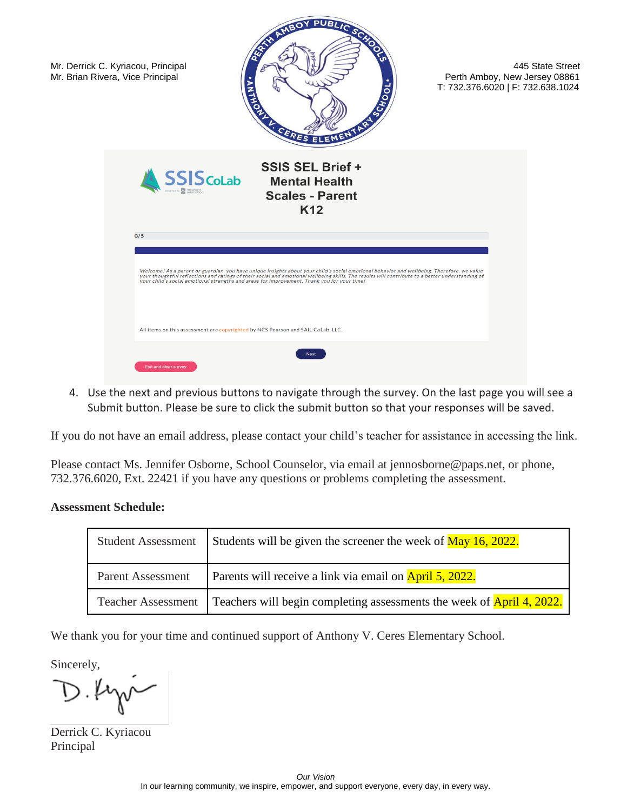

4. Use the next and previous buttons to navigate through the survey. On the last page you will see a Submit button. Please be sure to click the submit button so that your responses will be saved.

If you do not have an email address, please contact your child's teacher for assistance in accessing the link.

Please contact Ms. Jennifer Osborne, School Counselor, via email at jennosborne@paps.net, or phone, 732.376.6020, Ext. 22421 if you have any questions or problems completing the assessment.

## **Assessment Schedule:**

| <b>Student Assessment</b> | Students will be given the screener the week of $\frac{\text{May }16, 2022.}{\text{May }16, 2022.}$ |
|---------------------------|-----------------------------------------------------------------------------------------------------|
| <b>Parent Assessment</b>  | Parents will receive a link via email on <b>April 5, 2022.</b>                                      |
| <b>Teacher Assessment</b> | Teachers will begin completing assessments the week of <b>April 4, 2022.</b>                        |

We thank you for your time and continued support of Anthony V. Ceres Elementary School.

Sincerely,

Derrick C. Kyriacou Principal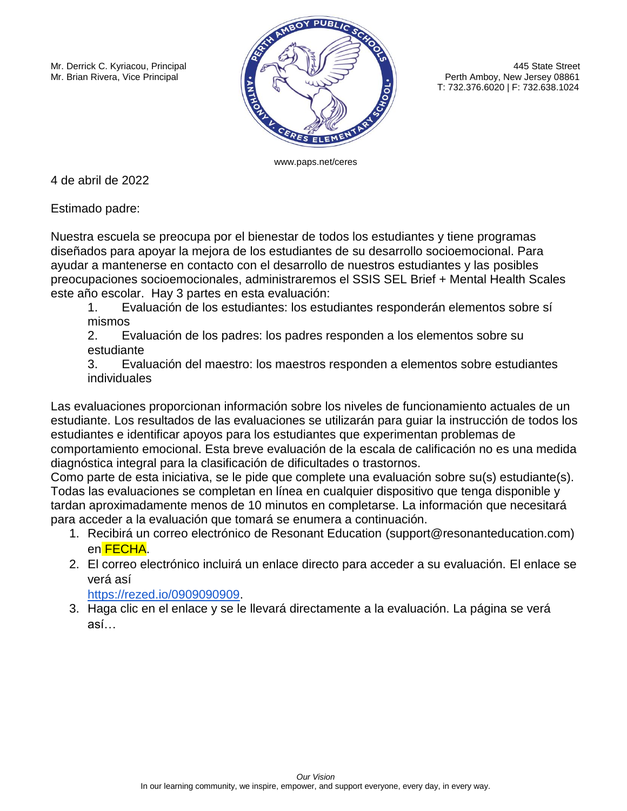

T: 732.376.6020 | F: 732.638.1024

www.paps.net/ceres

4 de abril de 2022

Estimado padre:

Nuestra escuela se preocupa por el bienestar de todos los estudiantes y tiene programas diseñados para apoyar la mejora de los estudiantes de su desarrollo socioemocional. Para ayudar a mantenerse en contacto con el desarrollo de nuestros estudiantes y las posibles preocupaciones socioemocionales, administraremos el SSIS SEL Brief + Mental Health Scales este año escolar. Hay 3 partes en esta evaluación:

1. Evaluación de los estudiantes: los estudiantes responderán elementos sobre sí mismos

2. Evaluación de los padres: los padres responden a los elementos sobre su estudiante

3. Evaluación del maestro: los maestros responden a elementos sobre estudiantes individuales

Las evaluaciones proporcionan información sobre los niveles de funcionamiento actuales de un estudiante. Los resultados de las evaluaciones se utilizarán para guiar la instrucción de todos los estudiantes e identificar apoyos para los estudiantes que experimentan problemas de comportamiento emocional. Esta breve evaluación de la escala de calificación no es una medida diagnóstica integral para la clasificación de dificultades o trastornos.

Como parte de esta iniciativa, se le pide que complete una evaluación sobre su(s) estudiante(s). Todas las evaluaciones se completan en línea en cualquier dispositivo que tenga disponible y tardan aproximadamente menos de 10 minutos en completarse. La información que necesitará para acceder a la evaluación que tomará se enumera a continuación.

- 1. Recibirá un correo electrónico de Resonant Education (support@resonanteducation.com) en FECHA.
- 2. El correo electrónico incluirá un enlace directo para acceder a su evaluación. El enlace se verá así

[https://rezed.io/0909090909.](https://rezed.io/0909090909)

3. Haga clic en el enlace y se le llevará directamente a la evaluación. La página se verá así…